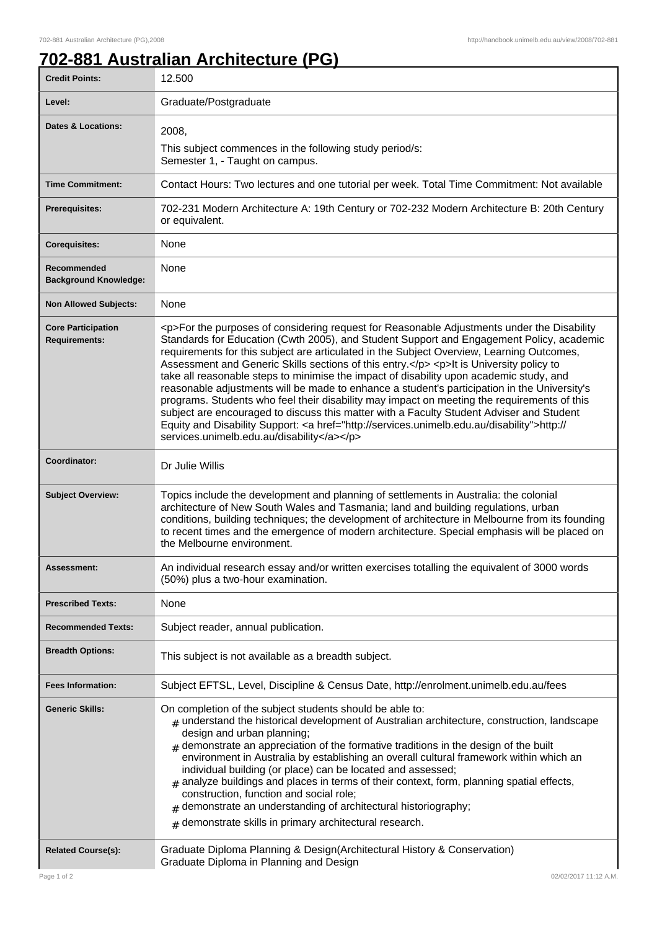## **702-881 Australian Architecture (PG)**

| <b>Credit Points:</b>                             | 12.500                                                                                                                                                                                                                                                                                                                                                                                                                                                                                                                                                                                                                                                                                                                                                                                                                                                                                                                       |
|---------------------------------------------------|------------------------------------------------------------------------------------------------------------------------------------------------------------------------------------------------------------------------------------------------------------------------------------------------------------------------------------------------------------------------------------------------------------------------------------------------------------------------------------------------------------------------------------------------------------------------------------------------------------------------------------------------------------------------------------------------------------------------------------------------------------------------------------------------------------------------------------------------------------------------------------------------------------------------------|
| Level:                                            | Graduate/Postgraduate                                                                                                                                                                                                                                                                                                                                                                                                                                                                                                                                                                                                                                                                                                                                                                                                                                                                                                        |
| <b>Dates &amp; Locations:</b>                     | 2008,<br>This subject commences in the following study period/s:<br>Semester 1, - Taught on campus.                                                                                                                                                                                                                                                                                                                                                                                                                                                                                                                                                                                                                                                                                                                                                                                                                          |
| <b>Time Commitment:</b>                           | Contact Hours: Two lectures and one tutorial per week. Total Time Commitment: Not available                                                                                                                                                                                                                                                                                                                                                                                                                                                                                                                                                                                                                                                                                                                                                                                                                                  |
| <b>Prerequisites:</b>                             | 702-231 Modern Architecture A: 19th Century or 702-232 Modern Architecture B: 20th Century<br>or equivalent.                                                                                                                                                                                                                                                                                                                                                                                                                                                                                                                                                                                                                                                                                                                                                                                                                 |
| <b>Corequisites:</b>                              | None                                                                                                                                                                                                                                                                                                                                                                                                                                                                                                                                                                                                                                                                                                                                                                                                                                                                                                                         |
| Recommended<br><b>Background Knowledge:</b>       | None                                                                                                                                                                                                                                                                                                                                                                                                                                                                                                                                                                                                                                                                                                                                                                                                                                                                                                                         |
| <b>Non Allowed Subjects:</b>                      | None                                                                                                                                                                                                                                                                                                                                                                                                                                                                                                                                                                                                                                                                                                                                                                                                                                                                                                                         |
| <b>Core Participation</b><br><b>Requirements:</b> | <p>For the purposes of considering request for Reasonable Adjustments under the Disability<br/>Standards for Education (Cwth 2005), and Student Support and Engagement Policy, academic<br/>requirements for this subject are articulated in the Subject Overview, Learning Outcomes,<br/>Assessment and Generic Skills sections of this entry.</p> <p>lt is University policy to<br/>take all reasonable steps to minimise the impact of disability upon academic study, and<br/>reasonable adjustments will be made to enhance a student's participation in the University's<br/>programs. Students who feel their disability may impact on meeting the requirements of this<br/>subject are encouraged to discuss this matter with a Faculty Student Adviser and Student<br/>Equity and Disability Support: &lt; a href="http://services.unimelb.edu.au/disability"&gt;http://<br/>services.unimelb.edu.au/disability</p> |
| Coordinator:                                      | Dr Julie Willis                                                                                                                                                                                                                                                                                                                                                                                                                                                                                                                                                                                                                                                                                                                                                                                                                                                                                                              |
| <b>Subject Overview:</b>                          | Topics include the development and planning of settlements in Australia: the colonial<br>architecture of New South Wales and Tasmania; land and building regulations, urban<br>conditions, building techniques; the development of architecture in Melbourne from its founding<br>to recent times and the emergence of modern architecture. Special emphasis will be placed on<br>the Melbourne environment.                                                                                                                                                                                                                                                                                                                                                                                                                                                                                                                 |
| Assessment:                                       | An individual research essay and/or written exercises totalling the equivalent of 3000 words<br>(50%) plus a two-hour examination.                                                                                                                                                                                                                                                                                                                                                                                                                                                                                                                                                                                                                                                                                                                                                                                           |
| <b>Prescribed Texts:</b>                          | None                                                                                                                                                                                                                                                                                                                                                                                                                                                                                                                                                                                                                                                                                                                                                                                                                                                                                                                         |
| <b>Recommended Texts:</b>                         | Subject reader, annual publication.                                                                                                                                                                                                                                                                                                                                                                                                                                                                                                                                                                                                                                                                                                                                                                                                                                                                                          |
| <b>Breadth Options:</b>                           | This subject is not available as a breadth subject.                                                                                                                                                                                                                                                                                                                                                                                                                                                                                                                                                                                                                                                                                                                                                                                                                                                                          |
| <b>Fees Information:</b>                          | Subject EFTSL, Level, Discipline & Census Date, http://enrolment.unimelb.edu.au/fees                                                                                                                                                                                                                                                                                                                                                                                                                                                                                                                                                                                                                                                                                                                                                                                                                                         |
| <b>Generic Skills:</b>                            | On completion of the subject students should be able to:<br>$#$ understand the historical development of Australian architecture, construction, landscape<br>design and urban planning;<br>$#$ demonstrate an appreciation of the formative traditions in the design of the built<br>environment in Australia by establishing an overall cultural framework within which an<br>individual building (or place) can be located and assessed;<br>$_{\text{\#}}$ analyze buildings and places in terms of their context, form, planning spatial effects,<br>construction, function and social role;<br>demonstrate an understanding of architectural historiography;<br>$#$ demonstrate skills in primary architectural research.                                                                                                                                                                                                |
| <b>Related Course(s):</b>                         | Graduate Diploma Planning & Design(Architectural History & Conservation)<br>Graduate Diploma in Planning and Design                                                                                                                                                                                                                                                                                                                                                                                                                                                                                                                                                                                                                                                                                                                                                                                                          |